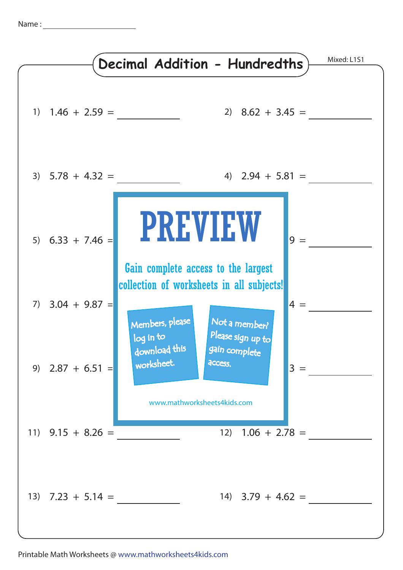